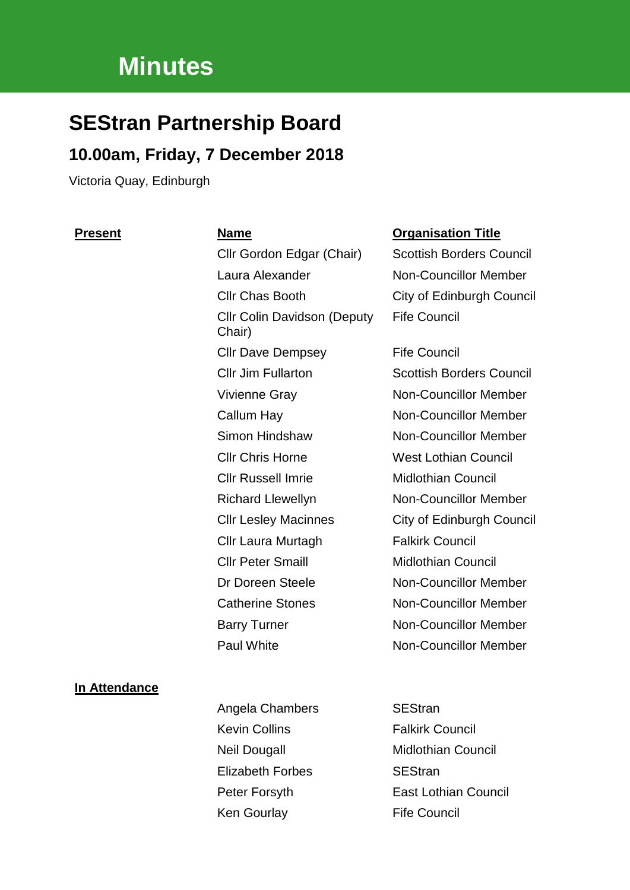# **Minutes**

# **SEStran Partnership Board**

# **10.00am, Friday, 7 December 2018**

Victoria Quay, Edinburgh

Laura Alexander Non-Councillor Member Cllr Chas Booth City of Edinburgh Council Cllr Colin Davidson (Deputy Chair) Cllr Dave Dempsey Fife Council Vivienne Gray Non-Councillor Member Callum Hay Non-Councillor Member Simon Hindshaw Non-Councillor Member Cllr Chris Horne West Lothian Council Cllr Russell Imrie Midlothian Council Richard Llewellyn Non-Councillor Member Cllr Laura Murtagh Falkirk Council Cllr Peter Smaill Midlothian Council Dr Doreen Steele Non-Councillor Member Catherine Stones Non-Councillor Member Barry Turner Non-Councillor Member Paul White **Non-Councillor Member** 

#### **Present Name Organisation Title**

Cllr Gordon Edgar (Chair) Scottish Borders Council Fife Council

Cllr Jim Fullarton Scottish Borders Council Cllr Lesley Macinnes City of Edinburgh Council

#### **In Attendance**

Angela Chambers SEStran Kevin Collins **Falkirk Council** Neil Dougall **Midlothian Council** Elizabeth Forbes SEStran Peter Forsyth East Lothian Council Ken Gourlay Fife Council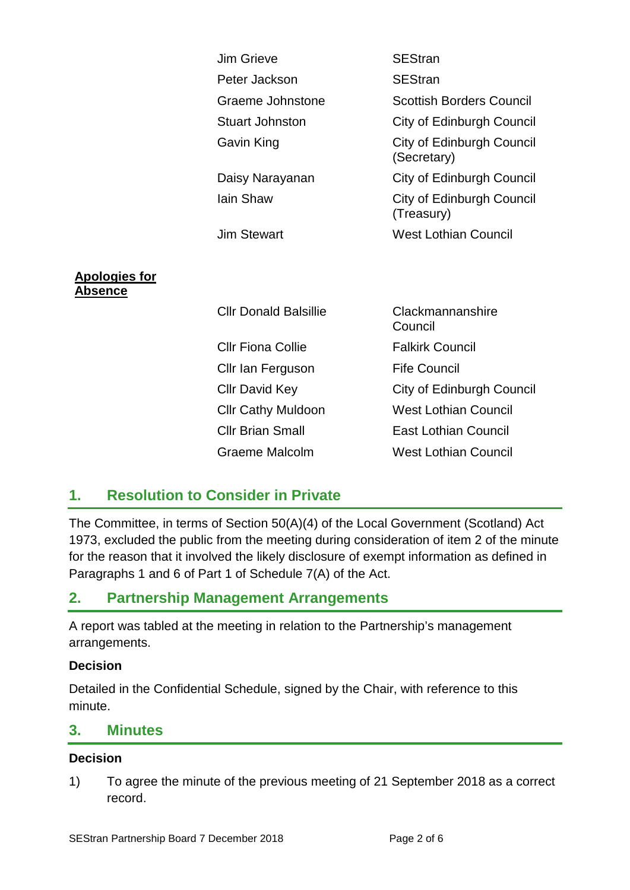|                                 | <b>Jim Grieve</b>            | <b>SEStran</b>                                 |
|---------------------------------|------------------------------|------------------------------------------------|
|                                 | Peter Jackson                | <b>SEStran</b>                                 |
|                                 | Graeme Johnstone             | <b>Scottish Borders Council</b>                |
|                                 | <b>Stuart Johnston</b>       | City of Edinburgh Council                      |
|                                 | Gavin King                   | City of Edinburgh Council<br>(Secretary)       |
|                                 | Daisy Narayanan              | City of Edinburgh Council                      |
|                                 | <b>lain Shaw</b>             | <b>City of Edinburgh Council</b><br>(Treasury) |
|                                 | <b>Jim Stewart</b>           | <b>West Lothian Council</b>                    |
|                                 |                              |                                                |
| <b>Apologies for</b><br>Absence |                              |                                                |
|                                 | <b>Cllr Donald Balsillie</b> | Clackmannanshire<br>Council                    |
|                                 | <b>Cllr Fiona Collie</b>     | <b>Falkirk Council</b>                         |
|                                 | Cllr Ian Ferguson            | <b>Fife Council</b>                            |
|                                 | <b>Cllr David Key</b>        | City of Edinburgh Council                      |
|                                 | <b>Cllr Cathy Muldoon</b>    | <b>West Lothian Council</b>                    |
|                                 | <b>Cllr Brian Small</b>      | <b>East Lothian Council</b>                    |
|                                 | <b>Graeme Malcolm</b>        | <b>West Lothian Council</b>                    |

# **1. Resolution to Consider in Private**

The Committee, in terms of Section 50(A)(4) of the Local Government (Scotland) Act 1973, excluded the public from the meeting during consideration of item 2 of the minute for the reason that it involved the likely disclosure of exempt information as defined in Paragraphs 1 and 6 of Part 1 of Schedule 7(A) of the Act.

# **2. Partnership Management Arrangements**

A report was tabled at the meeting in relation to the Partnership's management arrangements.

#### **Decision**

Detailed in the Confidential Schedule, signed by the Chair, with reference to this minute.

### **3. Minutes**

#### **Decision**

1) To agree the minute of the previous meeting of 21 September 2018 as a correct record.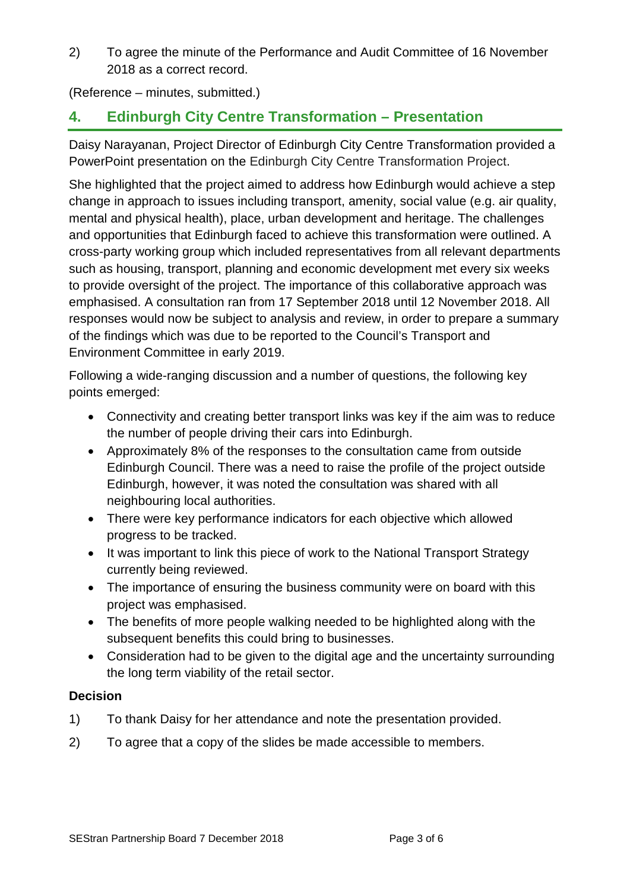2) To agree the minute of the Performance and Audit Committee of 16 November 2018 as a correct record.

(Reference – minutes, submitted.)

# **4. Edinburgh City Centre Transformation – Presentation**

Daisy Narayanan, Project Director of Edinburgh City Centre Transformation provided a PowerPoint presentation on the Edinburgh City Centre Transformation Project.

She highlighted that the project aimed to address how Edinburgh would achieve a step change in approach to issues including transport, amenity, social value (e.g. air quality, mental and physical health), place, urban development and heritage. The challenges and opportunities that Edinburgh faced to achieve this transformation were outlined. A cross-party working group which included representatives from all relevant departments such as housing, transport, planning and economic development met every six weeks to provide oversight of the project. The importance of this collaborative approach was emphasised. A consultation ran from 17 September 2018 until 12 November 2018. All responses would now be subject to analysis and review, in order to prepare a summary of the findings which was due to be reported to the Council's Transport and Environment Committee in early 2019.

Following a wide-ranging discussion and a number of questions, the following key points emerged:

- Connectivity and creating better transport links was key if the aim was to reduce the number of people driving their cars into Edinburgh.
- Approximately 8% of the responses to the consultation came from outside Edinburgh Council. There was a need to raise the profile of the project outside Edinburgh, however, it was noted the consultation was shared with all neighbouring local authorities.
- There were key performance indicators for each objective which allowed progress to be tracked.
- It was important to link this piece of work to the National Transport Strategy currently being reviewed.
- The importance of ensuring the business community were on board with this project was emphasised.
- The benefits of more people walking needed to be highlighted along with the subsequent benefits this could bring to businesses.
- Consideration had to be given to the digital age and the uncertainty surrounding the long term viability of the retail sector.

- 1) To thank Daisy for her attendance and note the presentation provided.
- 2) To agree that a copy of the slides be made accessible to members.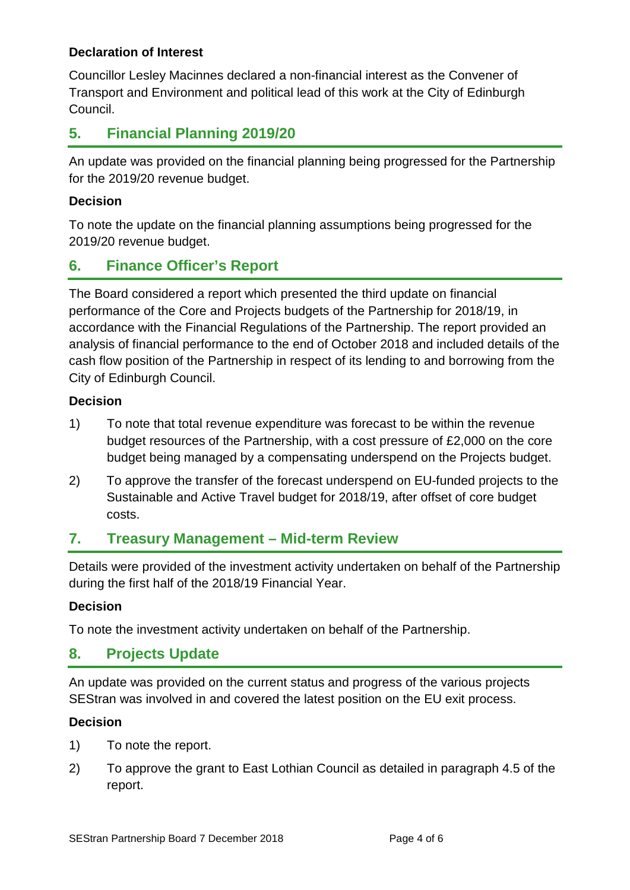#### **Declaration of Interest**

Councillor Lesley Macinnes declared a non-financial interest as the Convener of Transport and Environment and political lead of this work at the City of Edinburgh Council.

# **5. Financial Planning 2019/20**

An update was provided on the financial planning being progressed for the Partnership for the 2019/20 revenue budget.

#### **Decision**

To note the update on the financial planning assumptions being progressed for the 2019/20 revenue budget.

# **6. Finance Officer's Report**

The Board considered a report which presented the third update on financial performance of the Core and Projects budgets of the Partnership for 2018/19, in accordance with the Financial Regulations of the Partnership. The report provided an analysis of financial performance to the end of October 2018 and included details of the cash flow position of the Partnership in respect of its lending to and borrowing from the City of Edinburgh Council.

#### **Decision**

- 1) To note that total revenue expenditure was forecast to be within the revenue budget resources of the Partnership, with a cost pressure of £2,000 on the core budget being managed by a compensating underspend on the Projects budget.
- 2) To approve the transfer of the forecast underspend on EU-funded projects to the Sustainable and Active Travel budget for 2018/19, after offset of core budget costs.

# **7. Treasury Management – Mid-term Review**

Details were provided of the investment activity undertaken on behalf of the Partnership during the first half of the 2018/19 Financial Year.

#### **Decision**

To note the investment activity undertaken on behalf of the Partnership.

# **8. Projects Update**

An update was provided on the current status and progress of the various projects SEStran was involved in and covered the latest position on the EU exit process.

- 1) To note the report.
- 2) To approve the grant to East Lothian Council as detailed in paragraph 4.5 of the report.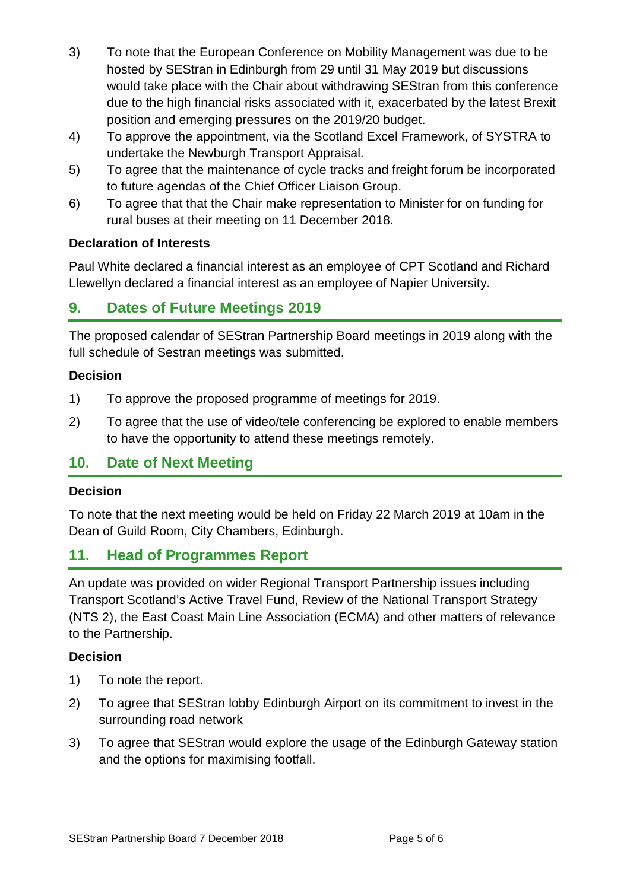- 3) To note that the European Conference on Mobility Management was due to be hosted by SEStran in Edinburgh from 29 until 31 May 2019 but discussions would take place with the Chair about withdrawing SEStran from this conference due to the high financial risks associated with it, exacerbated by the latest Brexit position and emerging pressures on the 2019/20 budget.
- 4) To approve the appointment, via the Scotland Excel Framework, of SYSTRA to undertake the Newburgh Transport Appraisal.
- 5) To agree that the maintenance of cycle tracks and freight forum be incorporated to future agendas of the Chief Officer Liaison Group.
- 6) To agree that that the Chair make representation to Minister for on funding for rural buses at their meeting on 11 December 2018.

#### **Declaration of Interests**

Paul White declared a financial interest as an employee of CPT Scotland and Richard Llewellyn declared a financial interest as an employee of Napier University.

# **9. Dates of Future Meetings 2019**

The proposed calendar of SEStran Partnership Board meetings in 2019 along with the full schedule of Sestran meetings was submitted.

#### **Decision**

- 1) To approve the proposed programme of meetings for 2019.
- 2) To agree that the use of video/tele conferencing be explored to enable members to have the opportunity to attend these meetings remotely.

# **10. Date of Next Meeting**

#### **Decision**

To note that the next meeting would be held on Friday 22 March 2019 at 10am in the Dean of Guild Room, City Chambers, Edinburgh.

# **11. Head of Programmes Report**

An update was provided on wider Regional Transport Partnership issues including Transport Scotland's Active Travel Fund, Review of the National Transport Strategy (NTS 2), the East Coast Main Line Association (ECMA) and other matters of relevance to the Partnership.

- 1) To note the report.
- 2) To agree that SEStran lobby Edinburgh Airport on its commitment to invest in the surrounding road network
- 3) To agree that SEStran would explore the usage of the Edinburgh Gateway station and the options for maximising footfall.